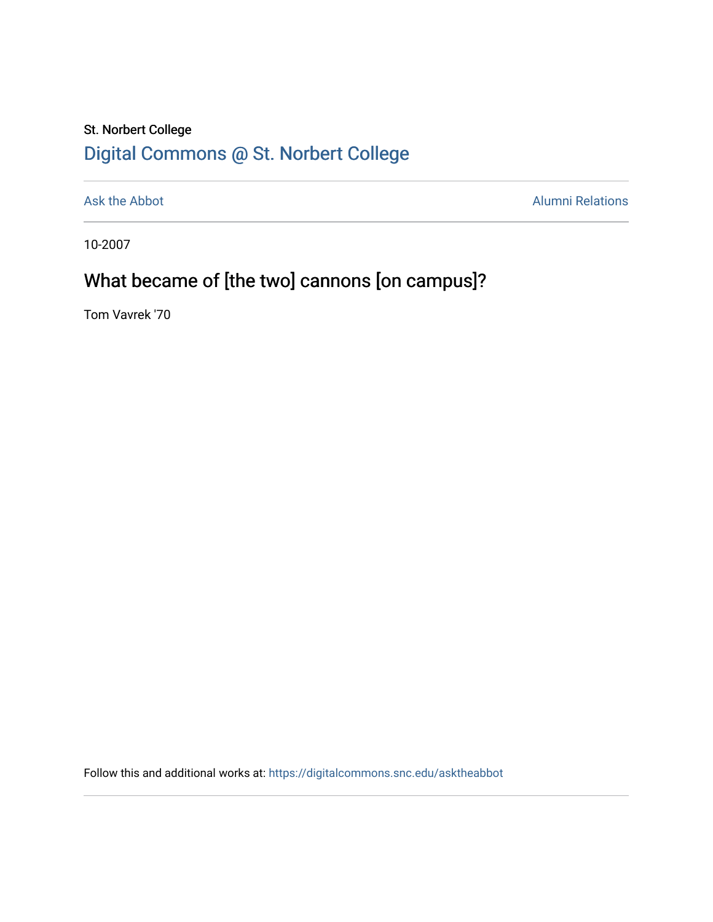## St. Norbert College [Digital Commons @ St. Norbert College](https://digitalcommons.snc.edu/)

[Ask the Abbot](https://digitalcommons.snc.edu/asktheabbot) **Alumni Relations** Alumni Relations

10-2007

# What became of [the two] cannons [on campus]?

Tom Vavrek '70

Follow this and additional works at: [https://digitalcommons.snc.edu/asktheabbot](https://digitalcommons.snc.edu/asktheabbot?utm_source=digitalcommons.snc.edu%2Fasktheabbot%2F21&utm_medium=PDF&utm_campaign=PDFCoverPages)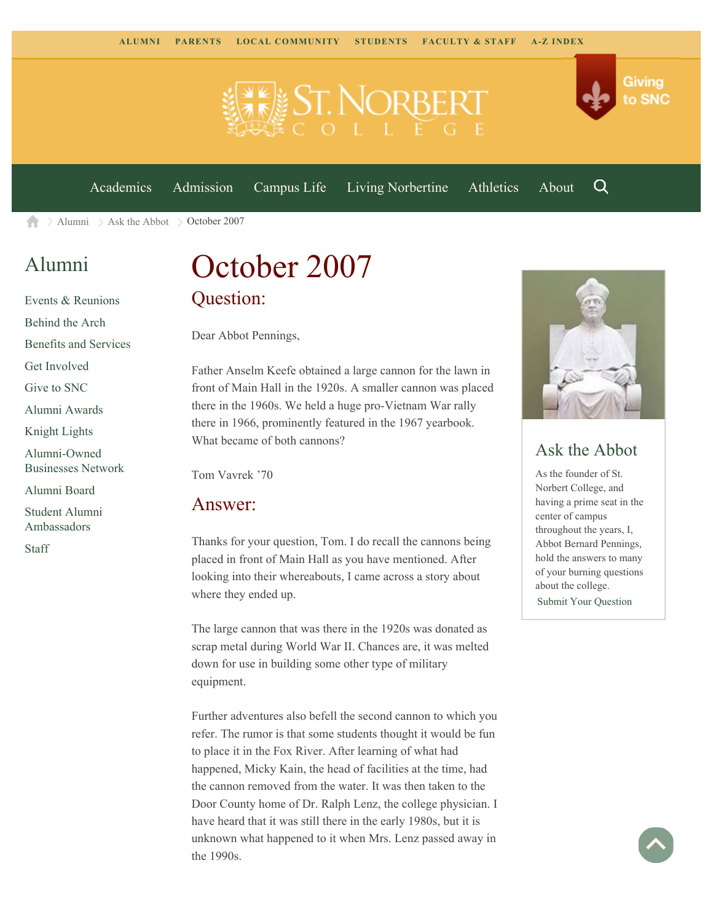



[Academics](https://www.snc.edu/academics) [Admission](https://www.snc.edu/admission) [Campus Life](https://www.snc.edu/campuslife) [Living Norbertine](https://www.snc.edu/livingnorbertine) [Athletics](https://www.snc.edu/athletics) [About](https://www.snc.edu/about)

Q

 $\geq$  [Alumni](https://www.snc.edu/alumni/)  $\geq$  [Ask the Abbot](https://www.snc.edu/alumni/abbot/)  $\geq$  October 2007 A

## [Alumni](https://www.snc.edu/alumni/index.html)

[Events & Reunions](https://www.snc.edu/alumni/event/index.html) [Behind the Arch](https://www.snc.edu/alumni/event/behindthearch/) [Benefits and Services](https://www.snc.edu/alumni/benefits.html) [Get Involved](https://www.snc.edu/alumni/getinvolved.html) [Give to SNC](http://giving.snc.edu/) [Alumni Awards](https://www.snc.edu/alumni/awards/index.html) [Knight Lights](https://www.snc.edu/alumni/knightlights/index.html) [Alumni-Owned](https://www.snc.edu/alumni/directory/index.html) [Businesses Network](https://www.snc.edu/alumni/directory/index.html) [Alumni Board](https://www.snc.edu/alumni/alumniboard.html) [Student Alumni](https://www.snc.edu/alumni/saa.html) [Ambassadors](https://www.snc.edu/alumni/saa.html) [Staff](https://www.snc.edu/alumni/contactus.html)

# October 2007 Question:

Dear Abbot Pennings,

Father Anselm Keefe obtained a large cannon for the lawn in front of Main Hall in the 1920s. A smaller cannon was placed there in the 1960s. We held a huge pro-Vietnam War rally there in 1966, prominently featured in the 1967 yearbook. What became of both cannons?

Tom Vavrek '70

#### Answer:

Thanks for your question, Tom. I do recall the cannons being placed in front of Main Hall as you have mentioned. After looking into their whereabouts, I came across a story about where they ended up.

The large cannon that was there in the 1920s was donated as scrap metal during World War II. Chances are, it was melted down for use in building some other type of military equipment.

Further adventures also befell the second cannon to which you refer. The rumor is that some students thought it would be fun to place it in the Fox River. After learning of what had happened, Micky Kain, the head of facilities at the time, had the cannon removed from the water. It was then taken to the Door County home of Dr. Ralph Lenz, the college physician. I have heard that it was still there in the early 1980s, but it is unknown what happened to it when Mrs. Lenz passed away in the 1990s.



### Ask the Abbot

As the founder of St. Norbert College, and having a prime seat in the center of campus throughout the years, I, Abbot Bernard Pennings, hold the answers to many of your burning questions about the college. [Submit Your Question](https://www.snc.edu/alumni/abbot/index.html)